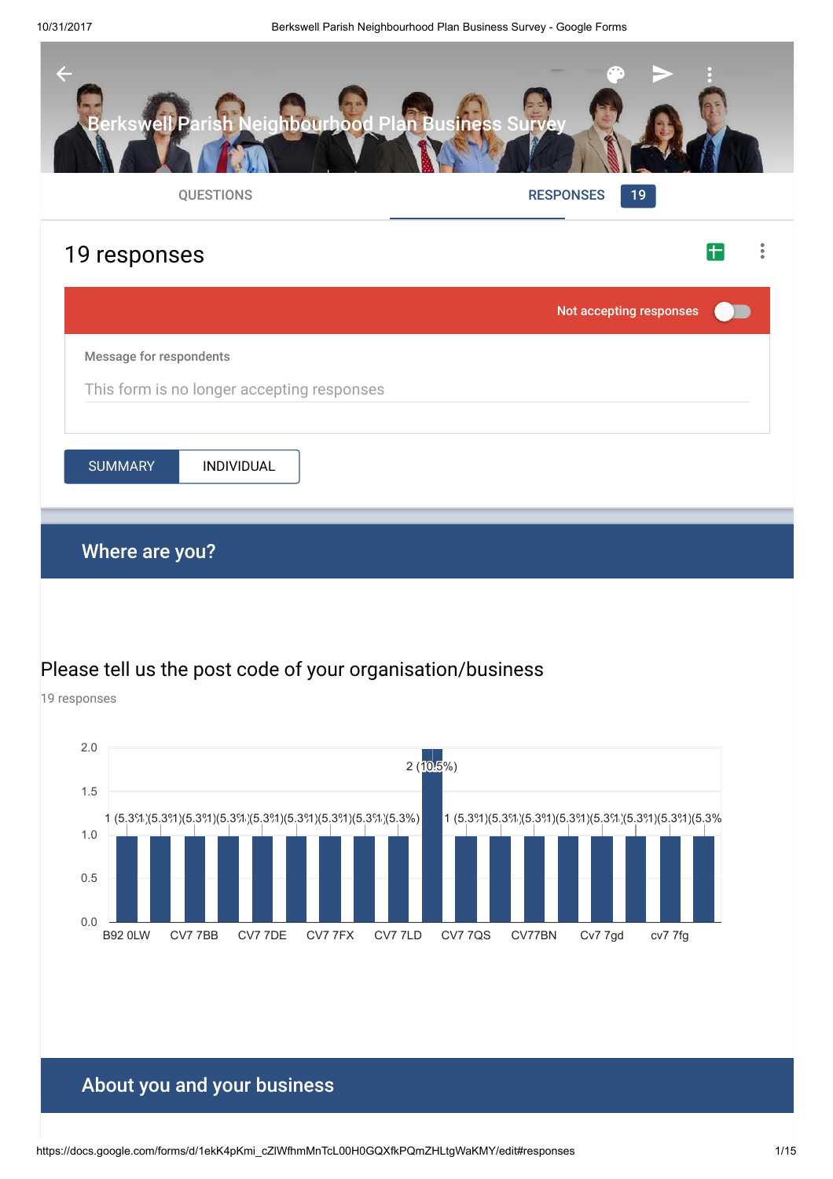19 responses



# Please tell us the post code of your organisation/business

B92 0LW CV7 7BB CV7 7DE CV7 7FX CV7 7LD CV7 7QS CV77BN Cv7 7gd cv7 7fg 0.0 0.5 1.0 1.5 2.0  $1$  (5.3%) (5.3%) (5.3%) (5.3%) (5.3%) (5.3%) (5.3%) 1 (5.3%) 1 (5.3%)  $2(10.5\%)$ 1 (5.3%) (5.3%) (5.3%) (5.3%) (5.3%) 1 (5.3%) (5.3%) 1 (5.3%)

# About you and your business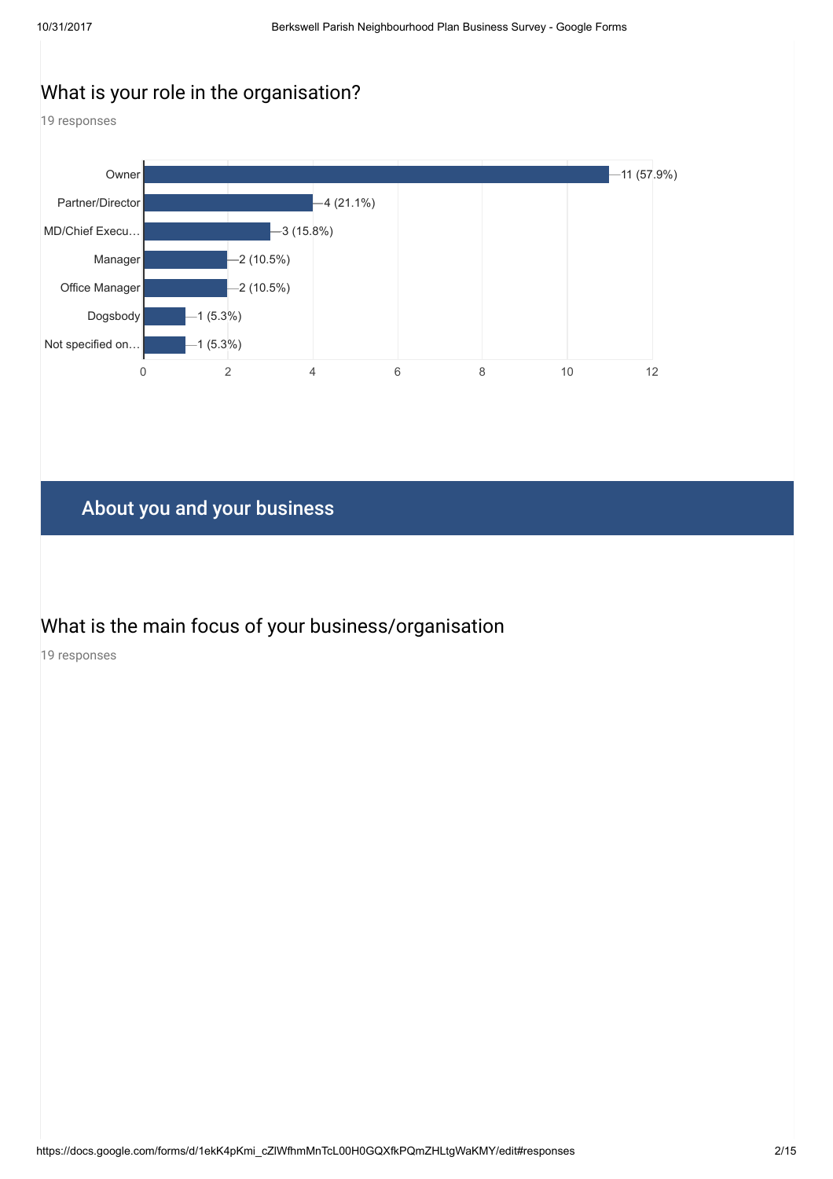# What is your role in the organisation?

19 responses



# About you and your business

# What is the main focus of your business/organisation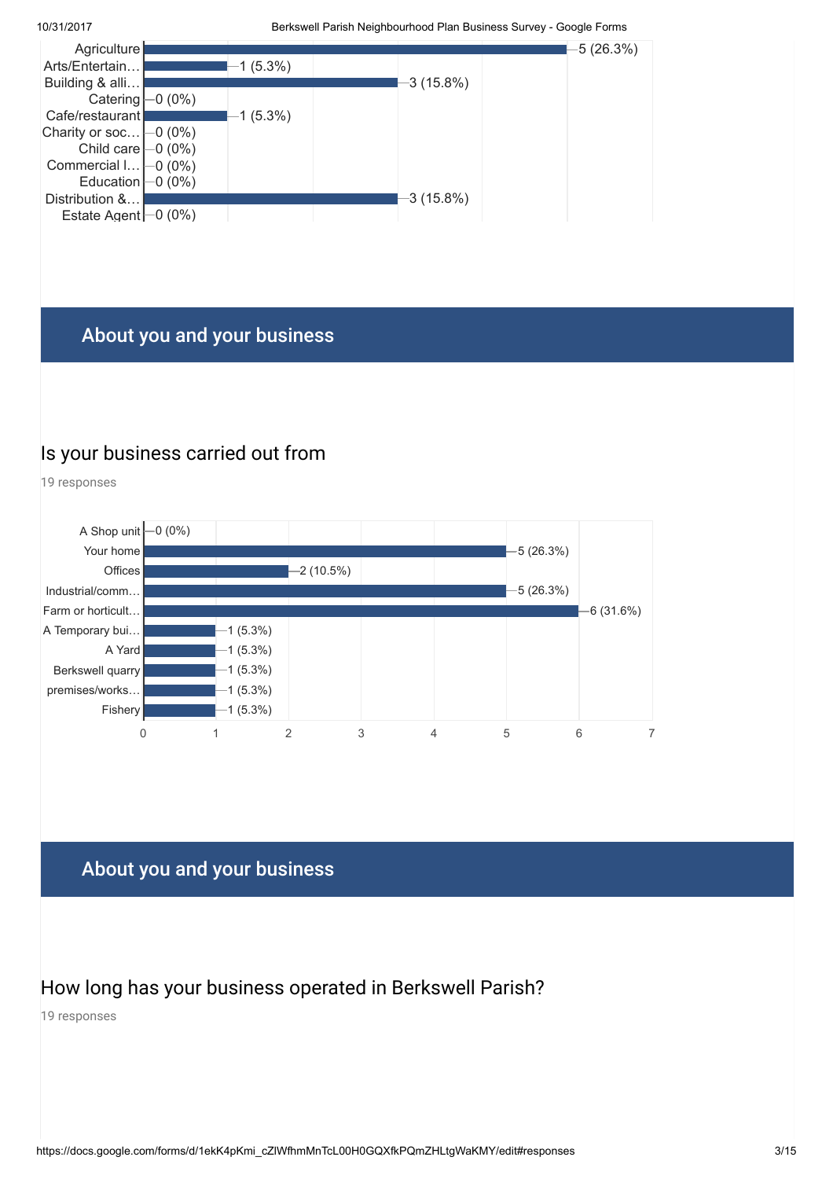

# About you and your business

#### Is your business carried out from

19 responses



# About you and your business

### How long has your business operated in Berkswell Parish?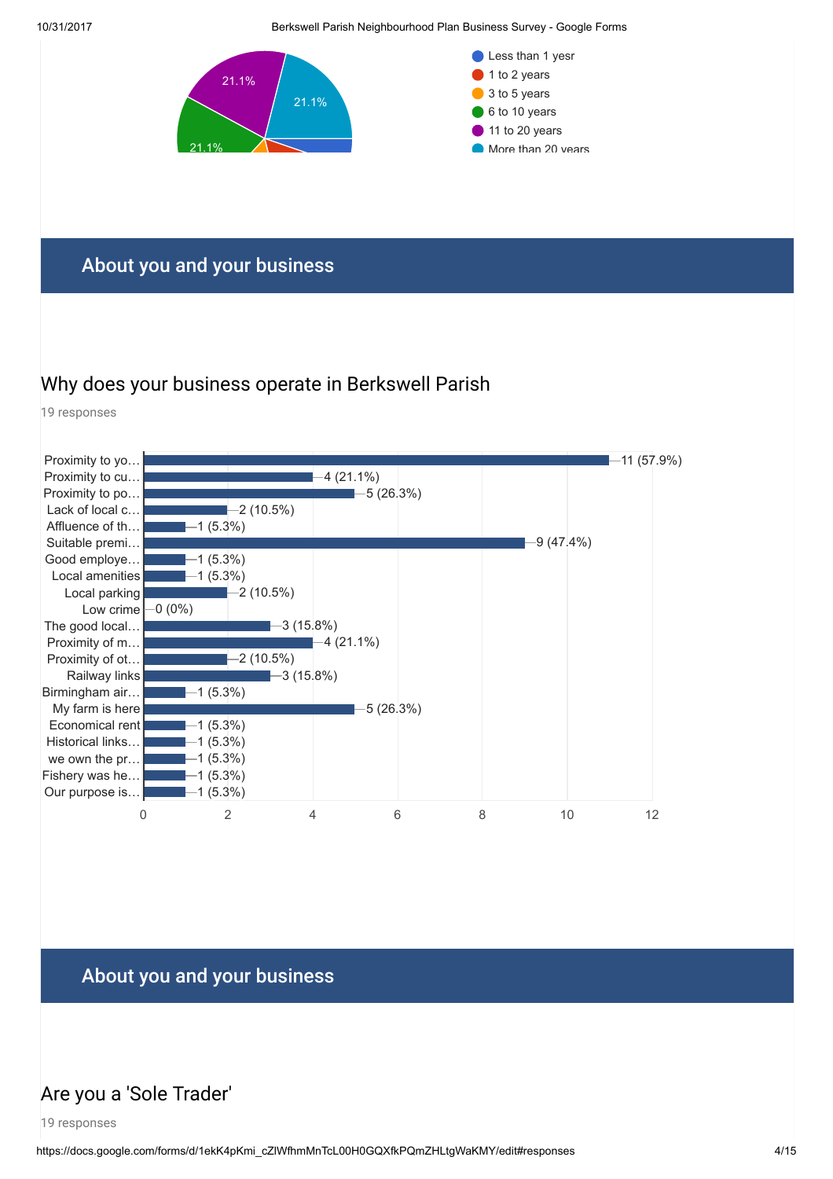

#### About you and your business

### Why does your business operate in Berkswell Parish

19 responses



# About you and your business

# Are you a 'Sole Trader'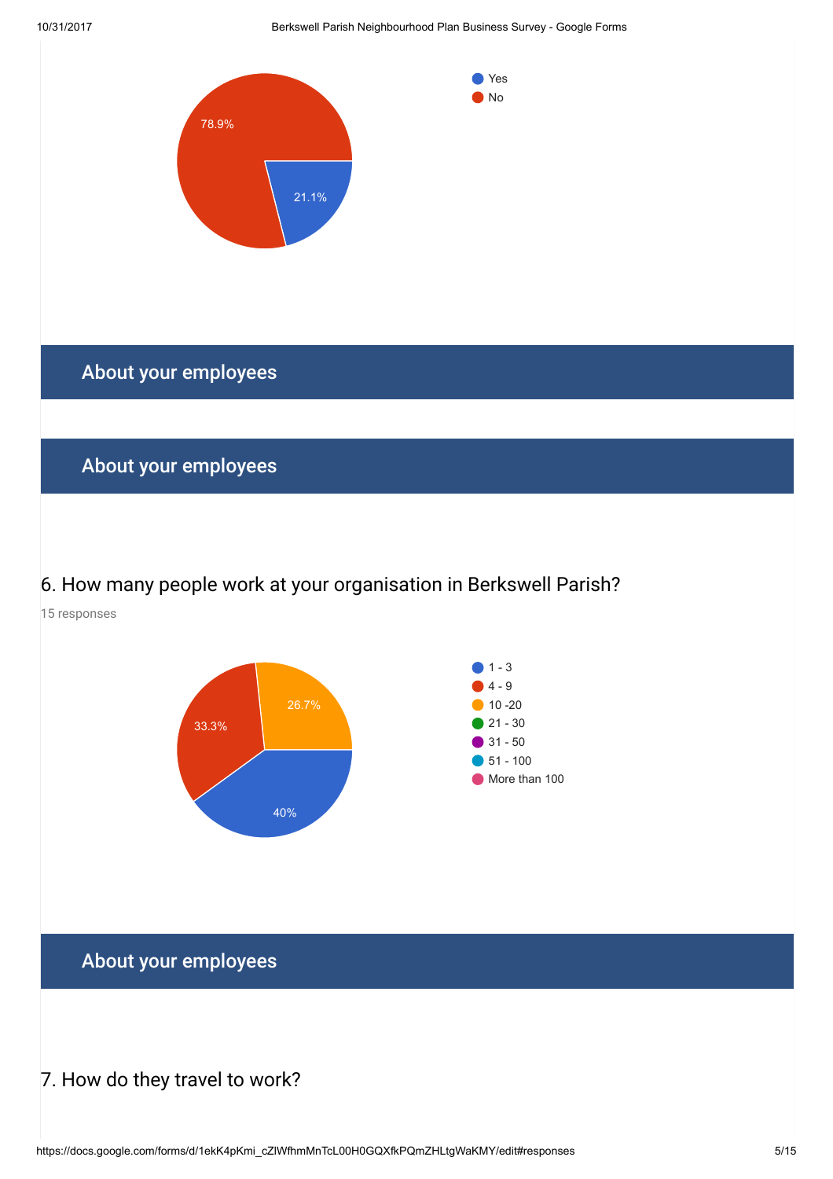

# 6. How many people work at your organisation in Berkswell Parish?

15 responses



About your employees

#### 7. How do they travel to work?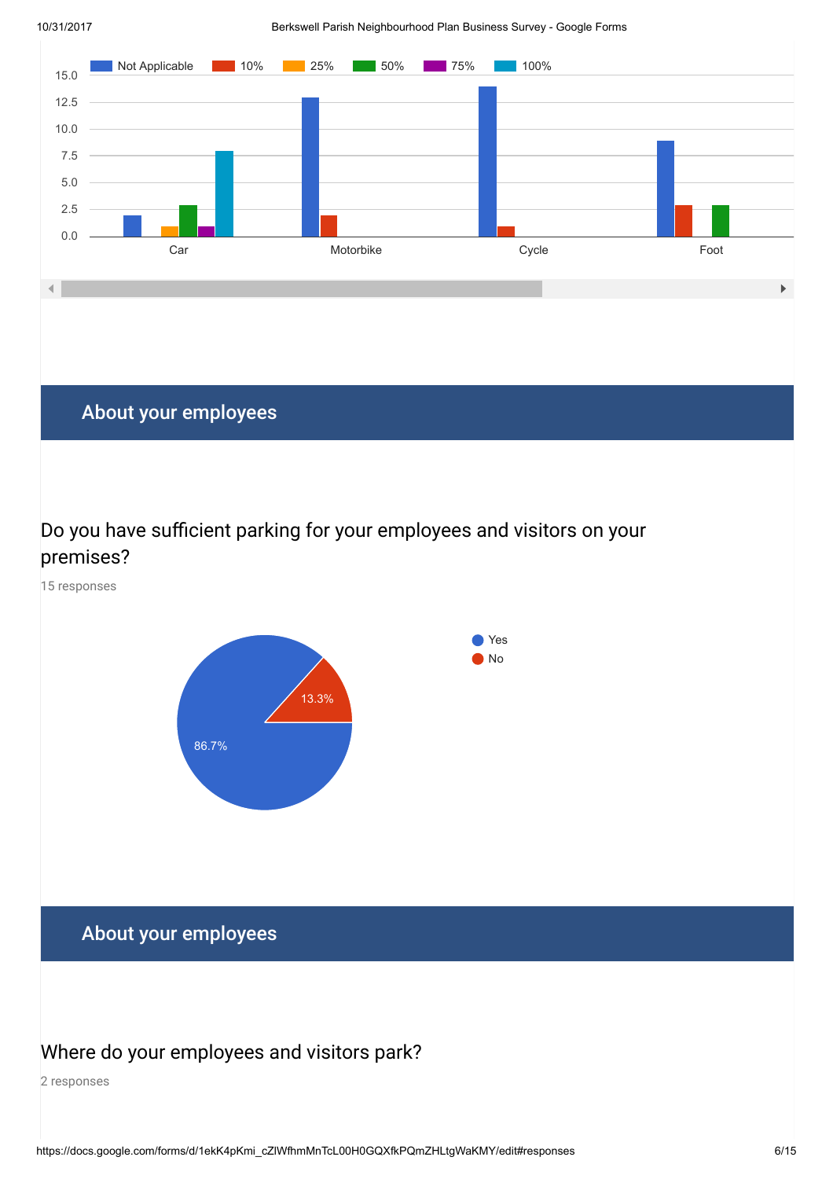

# About your employees

#### Do you have sufficient parking for your employees and visitors on your premises?

15 responses



# About your employees

#### Where do your employees and visitors park?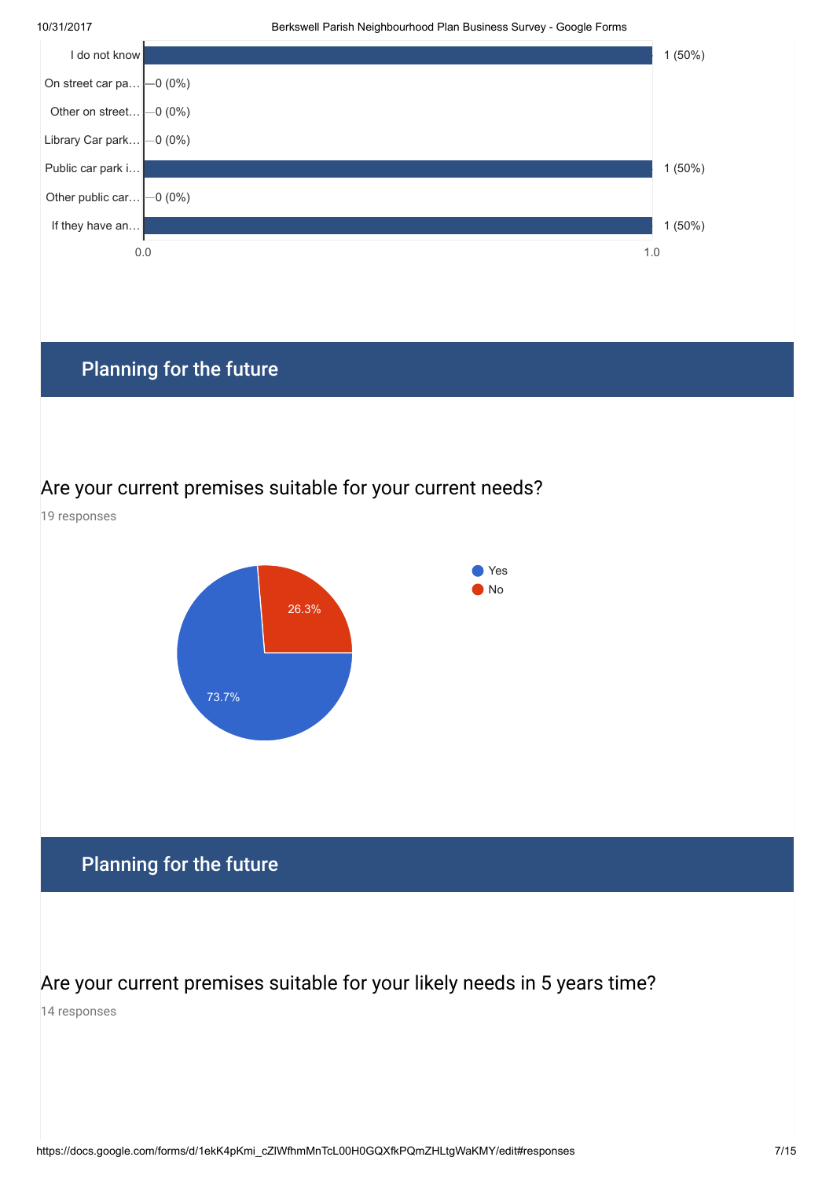

# Planning for the future

#### Are your current premises suitable for your current needs?



### Are your current premises suitable for your likely needs in 5 years time?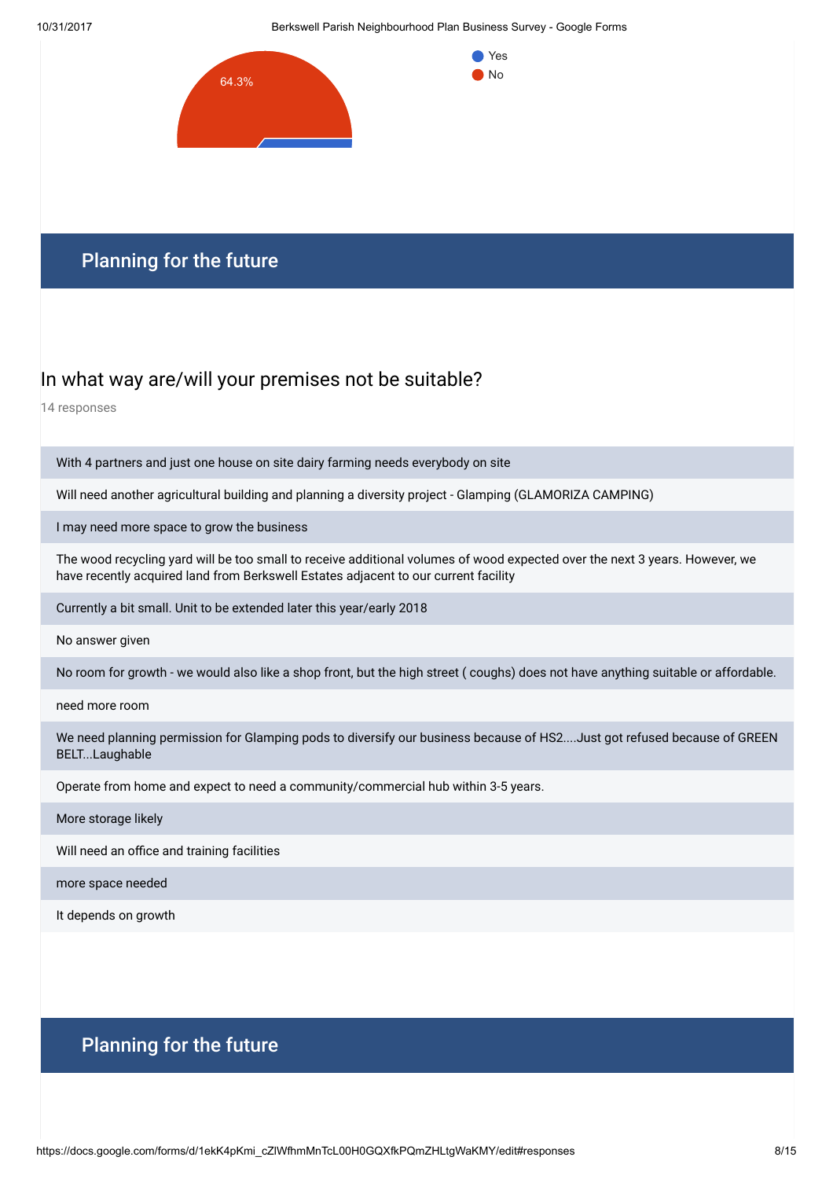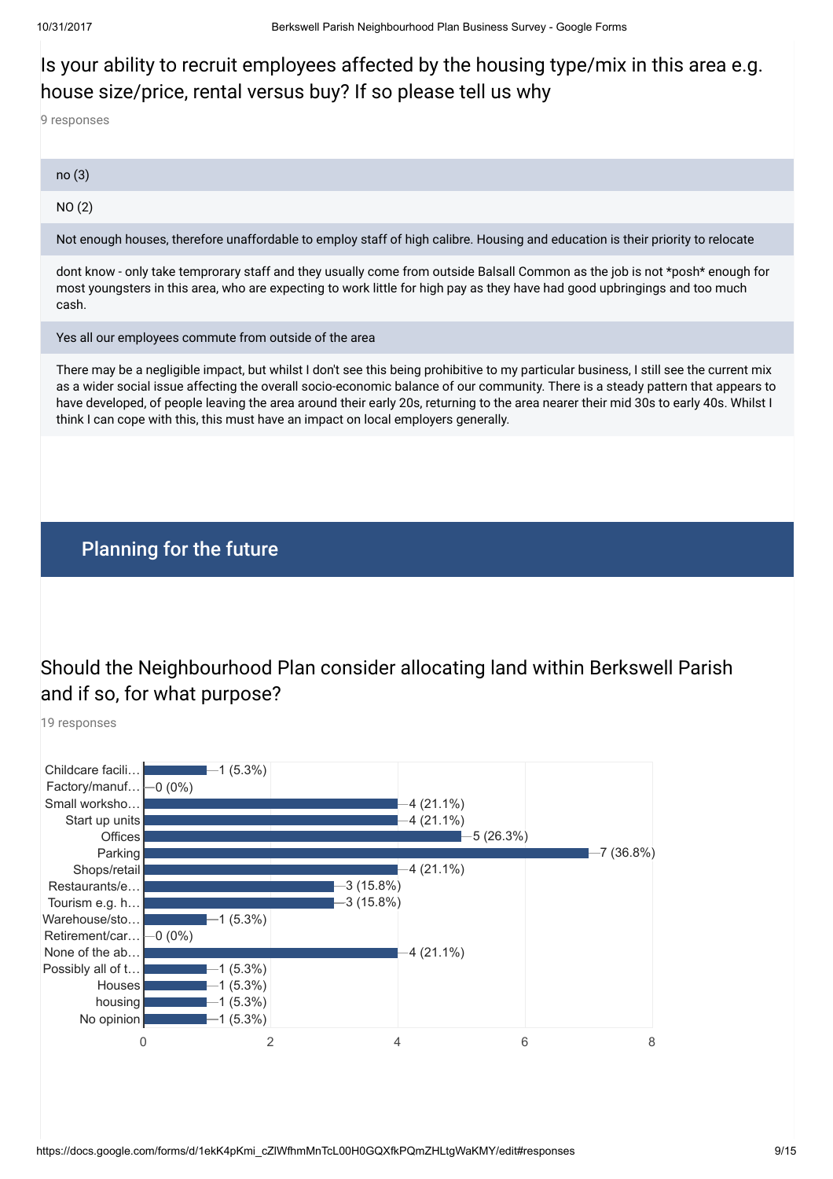# Is your ability to recruit employees affected by the housing type/mix in this area e.g. house size/price, rental versus buy? If so please tell us why

9 responses

| no(3) |  |  |  |
|-------|--|--|--|
|       |  |  |  |

NO (2)

Not enough houses, therefore unaffordable to employ staff of high calibre. Housing and education is their priority to relocate

dont know - only take temprorary staff and they usually come from outside Balsall Common as the job is not \*posh\* enough for most youngsters in this area, who are expecting to work little for high pay as they have had good upbringings and too much cash.

Yes all our employees commute from outside of the area

There may be a negligible impact, but whilst I don't see this being prohibitive to my particular business, I still see the current mix as a wider social issue affecting the overall socio-economic balance of our community. There is a steady pattern that appears to have developed, of people leaving the area around their early 20s, returning to the area nearer their mid 30s to early 40s. Whilst I think I can cope with this, this must have an impact on local employers generally.

#### Planning for the future

# Should the Neighbourhood Plan consider allocating land within Berkswell Parish and if so, for what purpose?

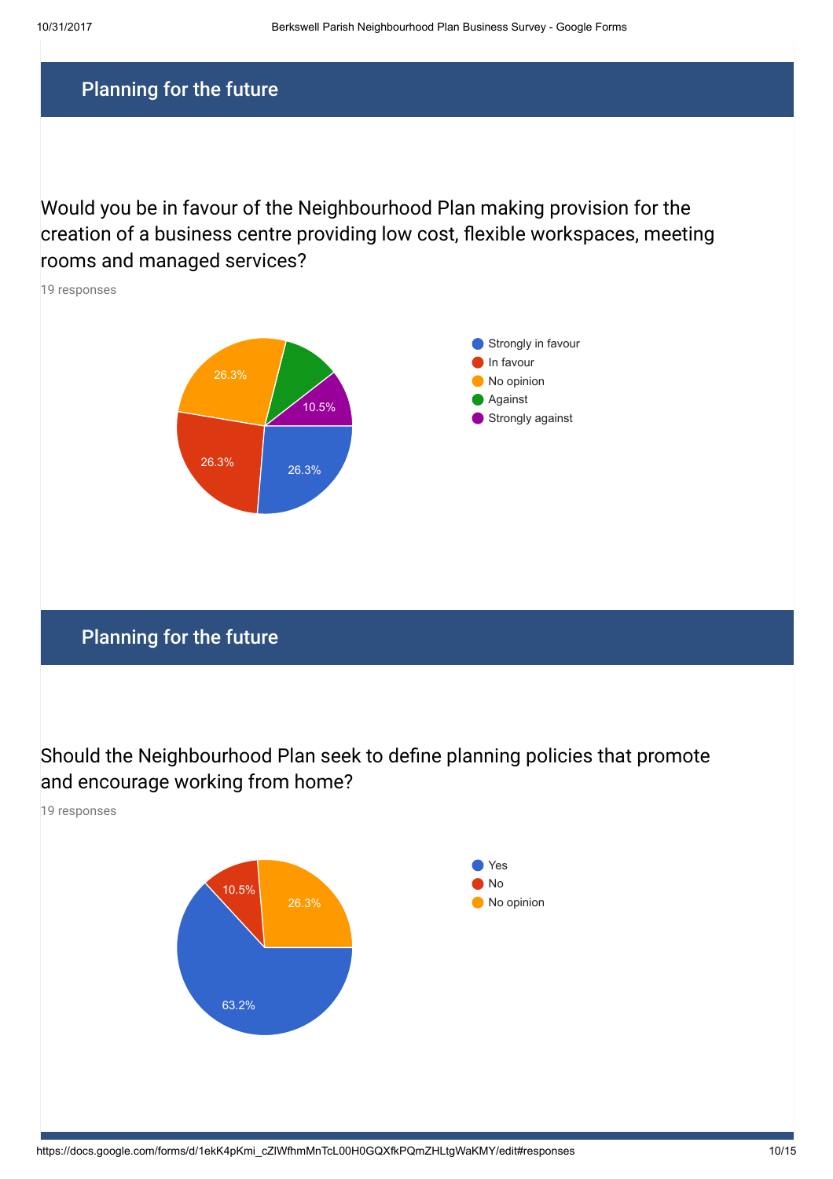Would you be in favour of the Neighbourhood Plan making provision for the creation of a business centre providing low cost, flexible workspaces, meeting rooms and managed services?



Should the Neighbourhood Plan seek to define planning policies that promote and encourage working from home?

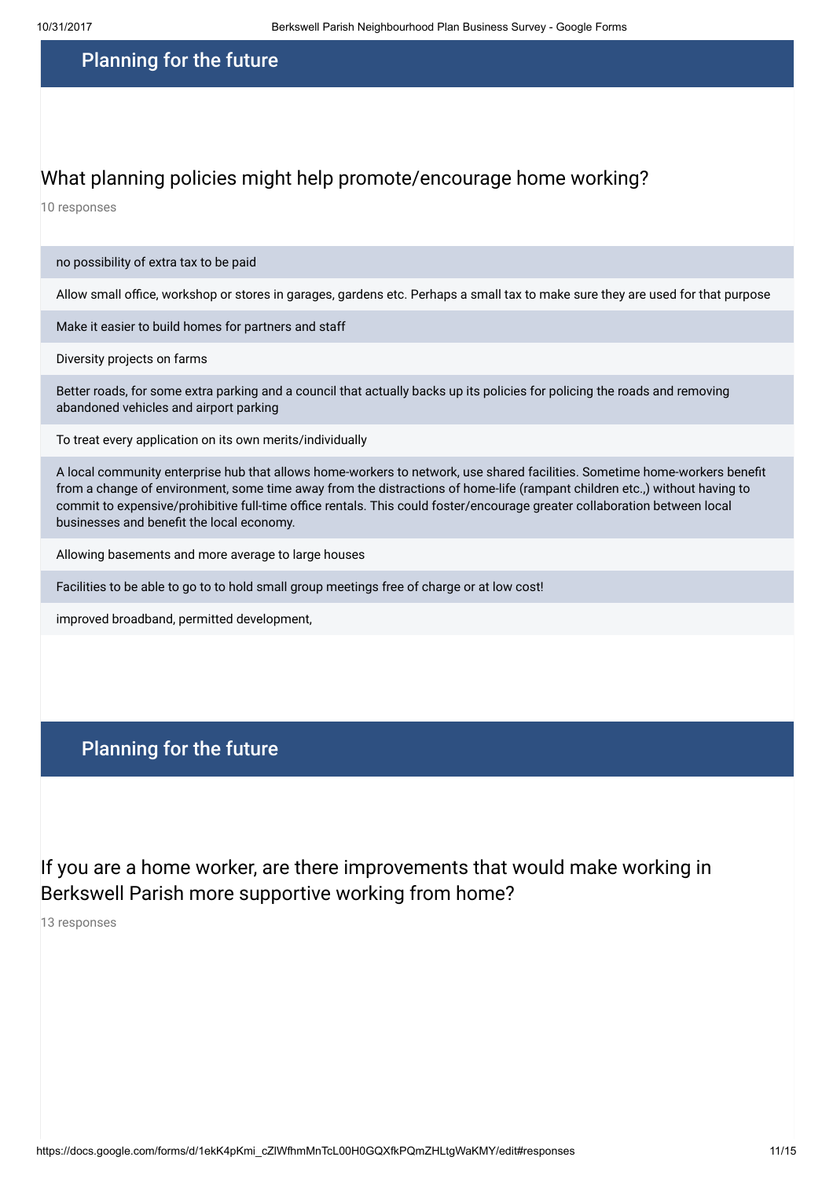#### What planning policies might help promote/encourage home working?

10 responses

#### no possibility of extra tax to be paid

Allow small office, workshop or stores in garages, gardens etc. Perhaps a small tax to make sure they are used for that purpose

Make it easier to build homes for partners and staff

Diversity projects on farms

Better roads, for some extra parking and a council that actually backs up its policies for policing the roads and removing abandoned vehicles and airport parking

To treat every application on its own merits/individually

A local community enterprise hub that allows home-workers to network, use shared facilities. Sometime home-workers benet from a change of environment, some time away from the distractions of home-life (rampant children etc.,) without having to commit to expensive/prohibitive full-time office rentals. This could foster/encourage greater collaboration between local businesses and benefit the local economy.

Allowing basements and more average to large houses

Facilities to be able to go to to hold small group meetings free of charge or at low cost!

improved broadband, permitted development,

#### Planning for the future

If you are a home worker, are there improvements that would make working in Berkswell Parish more supportive working from home?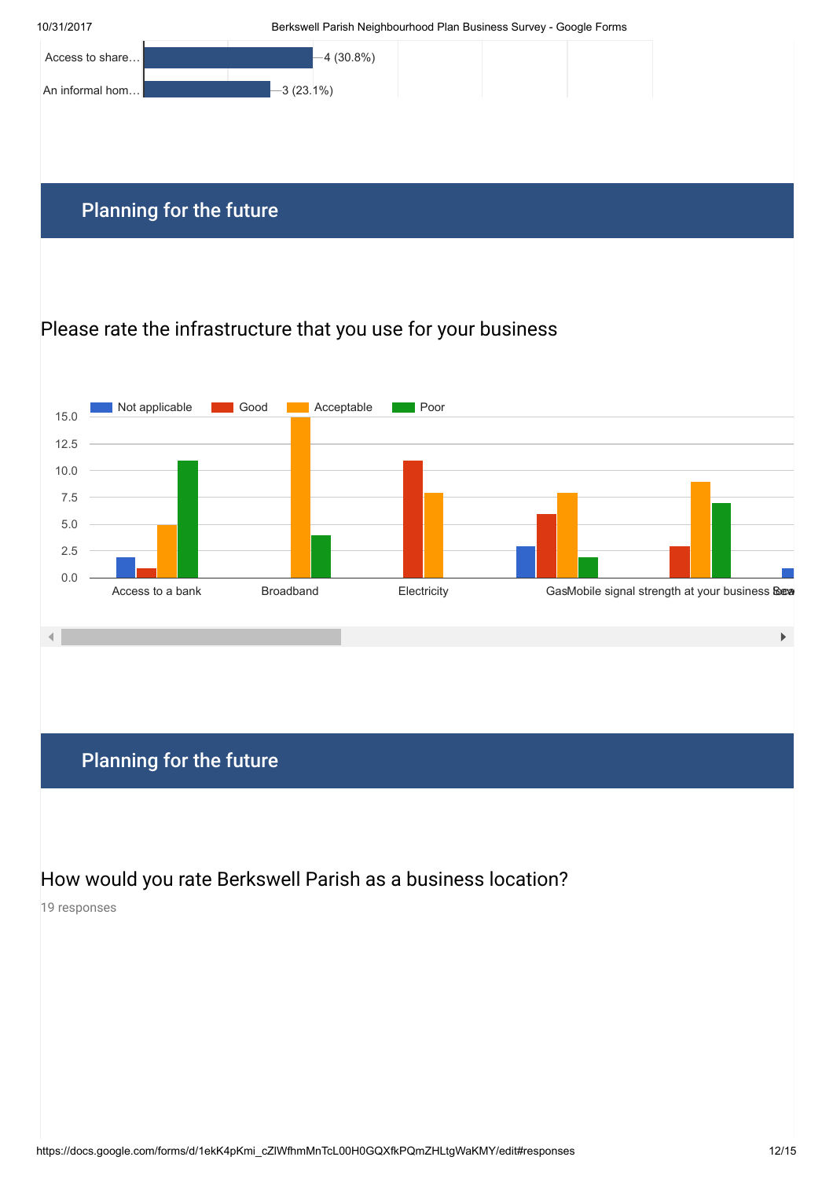

### Please rate the infrastructure that you use for your business



### Planning for the future

How would you rate Berkswell Parish as a business location?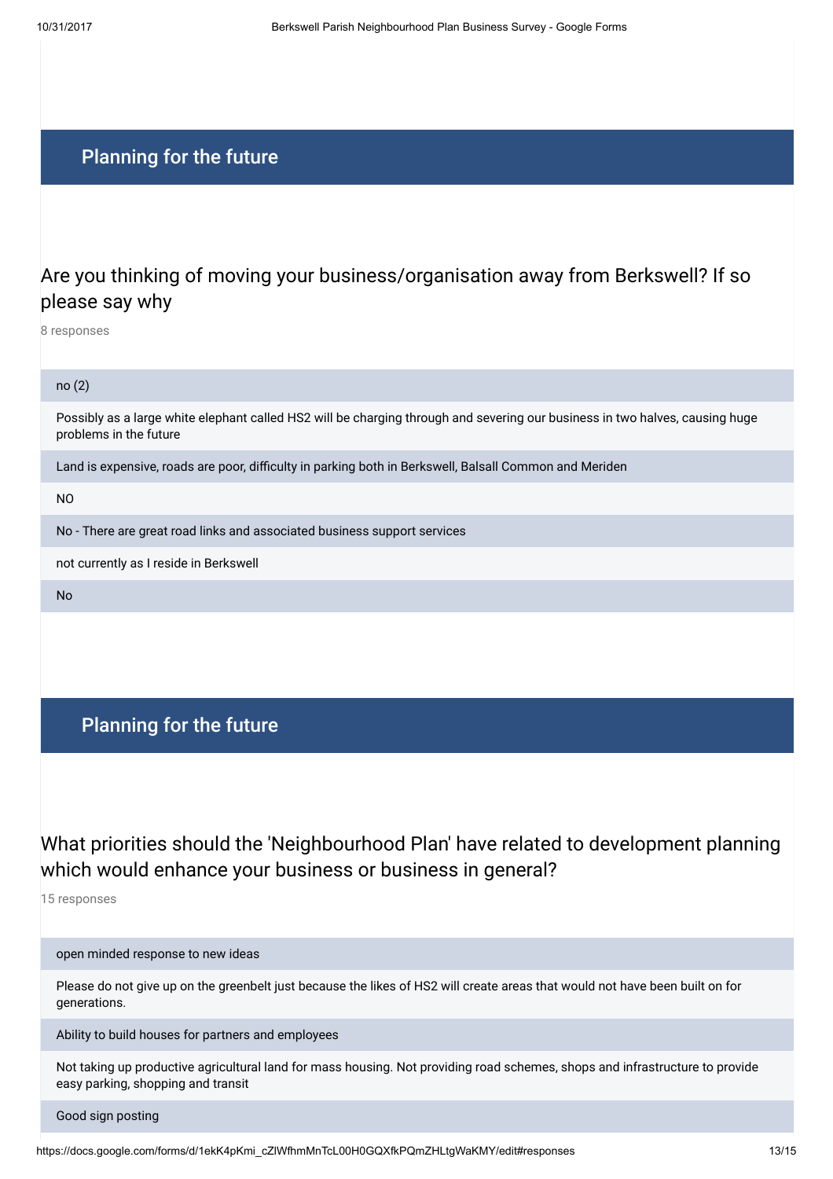### Are you thinking of moving your business/organisation away from Berkswell? If so please say why

8 responses

#### no (2)

Possibly as a large white elephant called HS2 will be charging through and severing our business in two halves, causing huge problems in the future

Land is expensive, roads are poor, difficulty in parking both in Berkswell, Balsall Common and Meriden

NO

No - There are great road links and associated business support services

not currently as I reside in Berkswell

No

#### Planning for the future

# What priorities should the 'Neighbourhood Plan' have related to development planning which would enhance your business or business in general?

15 responses

open minded response to new ideas

Please do not give up on the greenbelt just because the likes of HS2 will create areas that would not have been built on for generations.

Ability to build houses for partners and employees

Not taking up productive agricultural land for mass housing. Not providing road schemes, shops and infrastructure to provide easy parking, shopping and transit

Good sign posting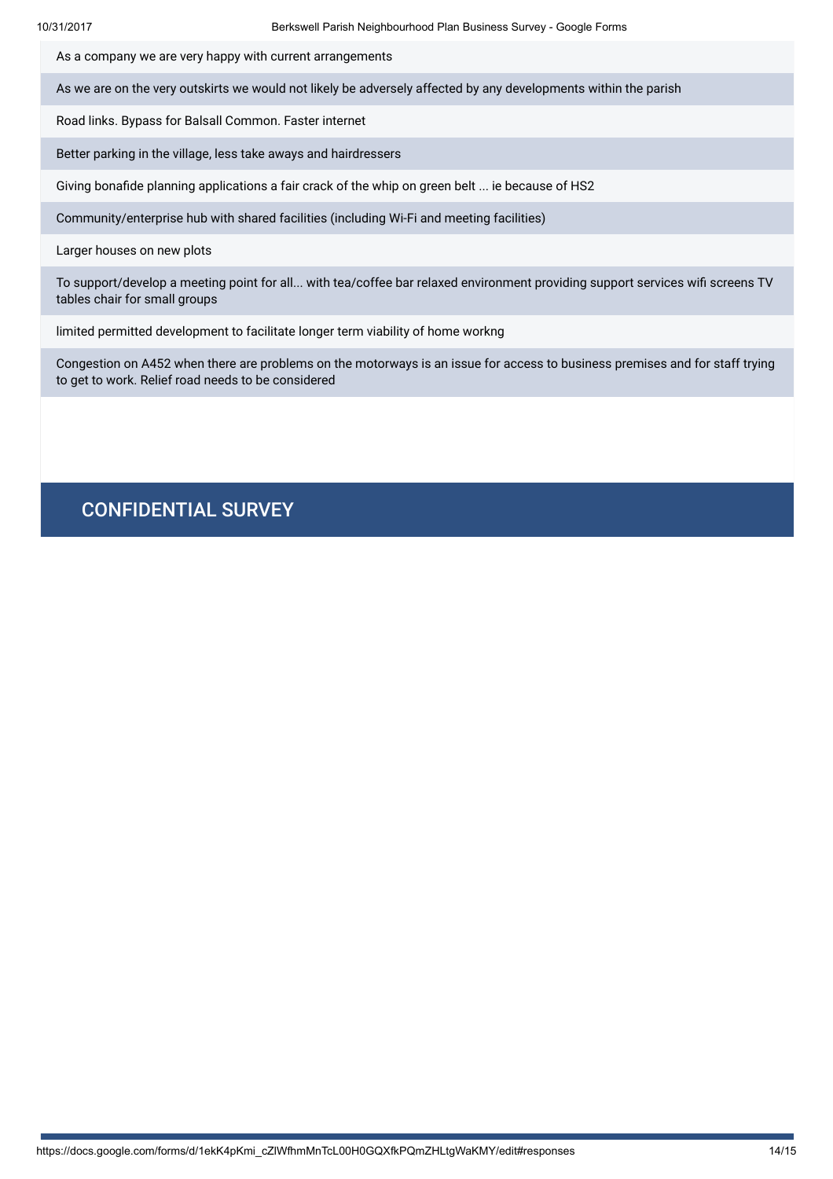As a company we are very happy with current arrangements

As we are on the very outskirts we would not likely be adversely affected by any developments within the parish

Road links. Bypass for Balsall Common. Faster internet

Better parking in the village, less take aways and hairdressers

Giving bonafide planning applications a fair crack of the whip on green belt ... ie because of HS2

Community/enterprise hub with shared facilities (including Wi-Fi and meeting facilities)

Larger houses on new plots

To support/develop a meeting point for all... with tea/coffee bar relaxed environment providing support services wifi screens TV tables chair for small groups

limited permitted development to facilitate longer term viability of home workng

Congestion on A452 when there are problems on the motorways is an issue for access to business premises and for staff trying to get to work. Relief road needs to be considered

#### CONFIDENTIAL SURVEY